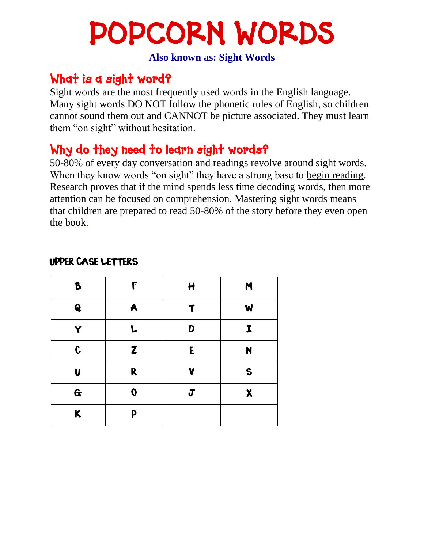# POPCORN WORDS

**Also known as: Sight Words** 

#### What is a sight word?

Sight words are the most frequently used words in the English language. Many sight words DO NOT follow the phonetic rules of English, so children cannot sound them out and CANNOT be picture associated. They must learn them "on sight" without hesitation.

#### Why do they need to learn sight words?

50-80% of every day conversation and readings revolve around sight words. When they know words "on sight" they have a strong base to begin reading. Research proves that if the mind spends less time decoding words, then more attention can be focused on comprehension. Mastering sight words means that children are prepared to read 50-80% of the story before they even open the book.

| B            | F                | $\mathbf{H}$ | M            |
|--------------|------------------|--------------|--------------|
| $\mathbf Q$  | A                | Т            | W            |
|              | L.               | D            | I            |
| $\mathbf c$  | Z                | E            | N            |
| U            | R                | V            | $\mathsf{S}$ |
| $\mathbf{G}$ | $\boldsymbol{0}$ | J            | X            |
| $\kappa$     | P                |              |              |

#### UPPER CASE LETTERS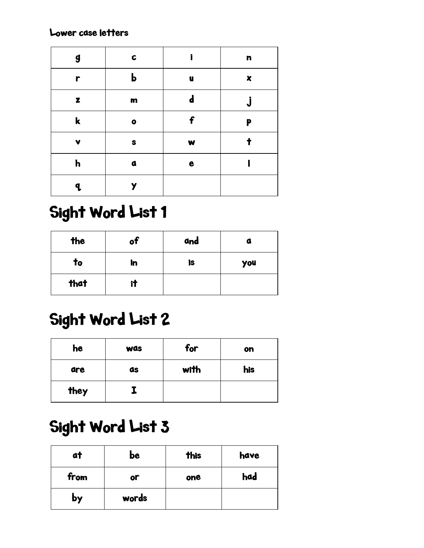Lower case letters

| $\boldsymbol{g}$ | $\mathbf{C}$ | ì            | $\mathbf n$ |
|------------------|--------------|--------------|-------------|
| r                | $\mathbf b$  | U            | X           |
| z                | $\mathbf m$  | d            |             |
| $\mathbf k$      | $\bullet$    | f            | P           |
| V                | S            | $\mathbf{w}$ |             |
| $\mathbf h$      | $\mathbf a$  | e            |             |
| a                |              |              |             |

### Sight Word List 1

| the          | of | and | o   |
|--------------|----|-----|-----|
| $\mathbf{t}$ | in | is  | you |
| that         | it |     |     |

#### Sight Word List 2

| he   | <b>was</b> | for  | on  |
|------|------------|------|-----|
| are  | as         | with | his |
| they |            |      |     |

### Sight Word List 3

| at   | be    | <b>this</b> | have |
|------|-------|-------------|------|
| from | or    | one         | had  |
| by   | words |             |      |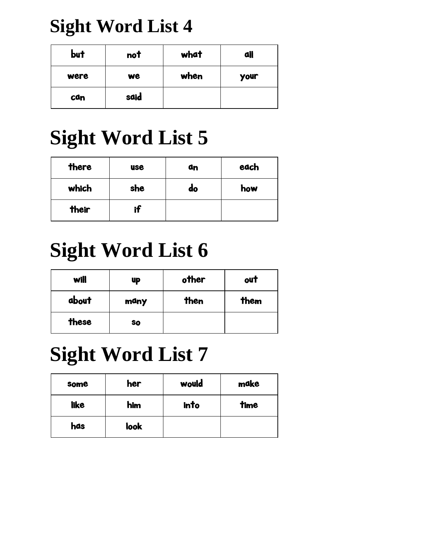### **Sight Word List 4**

| but  | not  | what | all         |
|------|------|------|-------------|
| were | we   | when | <b>your</b> |
| can  | said |      |             |

# **Sight Word List 5**

| there | <b>use</b> | ۵n | each |
|-------|------------|----|------|
| which | she        | do | how  |
| their | if         |    |      |

# **Sight Word List 6**

| will  | <b>up</b> | other | out  |
|-------|-----------|-------|------|
| about | many      | then  | them |
| these | <b>SO</b> |       |      |

# **Sight Word List 7**

| some        | her  | would | make |
|-------------|------|-------|------|
| <b>like</b> | him  | into  | time |
| has         | look |       |      |